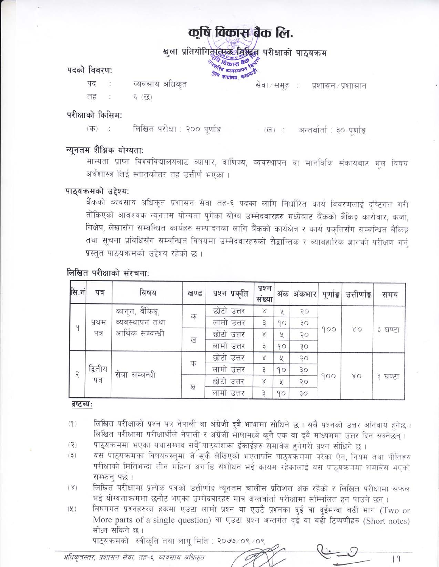# कृषि विकास बैंक लि.

खुला प्रतियोगितो सिक्के क्रिसिक्क परीक्षाको पाठ्यक्रम **REGISTER BOOM** 

पदको विवरण:

पद व्यवसाय अधिकत तह ६ (छ)

श्कि व्यवस्थापन काठमाडी सेवा/समूह: प्रशासन/प्रशासान

परीक्षाको किसिम:

लिखित परीक्षा : २०० पूर्णाङ्क (ख) : अन्तर्वार्ता : ३० पूर्णाङ्क  $(\overline{d}\overline{b})$ - 15

रियामा व्यवस्थापन ।<br>स्थानी व्यवस्थापन

#### न्युनतम शैक्षिक योग्यताः

मान्यता प्राप्त विश्वविद्यालयबाट व्यापार, वाणिज्य, व्यवस्थापन वा मानविकि संकायबाट मूल विषय अर्थशास्त्र लिई स्नातकोत्तर तह उत्तीर्ण भएका ।

#### पाठ्यक्रमको उद्देश्य:

बैंकको व्यवसाय अधिकृत प्रशासन सेवा तह-६ पदका लागि निर्धारित कार्य विवरणलाई दृष्टिगत गरी तोकिएको आवश्यक न्यूनतम योग्यता पुगेका योग्य उम्मेदवारहरु मध्येबाट बैंकको बैंकिङ्ग कारोवार, कर्जा, निक्षेप, लेखासँग सम्बन्धित कार्यहरु सम्पादनका लागि बैंकको कार्यक्षेत्र र कार्य प्रकृतिसँग सम्बन्धित बैंकिङ्ग तथा सूचना प्रविधिसँग सम्बन्धित विषयमा उम्मेदवारहरुको सैद्धान्तिक र व्यावहारिक ज्ञानको परीक्षण गर्नु प्रस्तुत पाठ्यक्रमको उद्देश्य रहेको छ ।

| सि.नं | पत्र            | विषय                                                  | खण्ड | प्रश्न प्रकृति | प्रश्न<br>संख्या |        | अंक अंकभार | पूर्णाङ्क | उत्तीर्णाङ्क | समय     |
|-------|-----------------|-------------------------------------------------------|------|----------------|------------------|--------|------------|-----------|--------------|---------|
|       | प्रथम<br>पत्र   | कानून, बैंकिङ्ग,<br>व्यवस्थापन तथा<br>आर्थिक सम्बन्धी | क    | छोटो उत्तर     | $\times$         | У      | २०         | 900       | $80^{\circ}$ | ३ घण्टा |
| q     |                 |                                                       |      | लामो उत्तर     | З                | 90     | ąо         |           |              |         |
|       |                 |                                                       | ख    | छोटो उत्तर     | X                | $\chi$ | २०         |           |              |         |
|       |                 |                                                       |      | लामो उत्तर     |                  | 90     | 30         |           |              |         |
|       | द्वितीय<br>पत्र | सेवा सम्बन्धी                                         |      | छोटो उत्तर     | $\times$         | У      | २०         | 900       | 80           | ३ घण्टा |
| ₽     |                 |                                                       | क    | लामो उत्तर     |                  | 90     | ąо         |           |              |         |
|       |                 |                                                       | ख    | छोटो उत्तर     | X                | У      | २०         |           |              |         |
|       |                 |                                                       |      | लामो उत्तर     |                  | 90     | 30         |           |              |         |

#### लिखित परीक्षाको संरचना:

#### द्रष्टव्यः

- लिखित परीक्षाको प्रश्न पत्र नेपाली वा अंग्रेजी दुबै भाषामा सोधिने छ । सबै प्रश्नको उत्तर अनिवार्य हुनेछ ।  $(9)$ लिखित परीक्षामा परीक्षार्थीले नेपाली र अंग्रेजी भाषामध्ये कुनै एक वा दुवै माध्यममा उत्तर दिन सक्नेछन्।
- पाठ्यक्रममा भएका यथासम्भव सबै पाठ्यांशका ईकाईहरु समावेस हुनेगरी प्रश्न सोधिने छ ।  $(2)$
- यस पाठ्यक्रमका विषयवस्तुमा जे सुकै लेखिएको भएतापनि पाठ्यक्रममा परेका ऐन, नियम तथा नीतिहरु  $(3)$ परीक्षाको मितिभन्दा तीन महिना अगाडि संशोधन भई कायम रहेकालाई यस पाठयक्रममा समावेस भएको सम्भन्न पर्छ ।
- लिखित परीक्षामा प्रत्येक पत्रको उत्तीर्णाङ्ग न्यूनतम चालीस प्रतिशत अंक रहेको र लिखित परीक्षामा सफल  $(X)$ भई योग्यताक्रममा छनौट भएका उम्मेदवारहरु मात्र अन्तर्वार्ता परीक्षामा सम्मिलित हुन पाउने छन्।
- विषयगत प्रश्नहरुका हकमा एउटा लामो प्रश्न वा एउटै प्रश्नका दुई वा दुईभन्दा बढी भाग (Two or  $(\chi)$ More parts of a single question) वा एउटा प्रश्न अन्तर्गत दई वा बढी टिप्पणीहरु (Short notes) सोध्न सकिने छ ।

 $|9|$ 

पाठ्यक्रमको स्वीकृति तथा लाग् मिति : २०७७/०९/०९

अधिकृतस्तर, प्रशासन सेवा, तह-६, व्यवसाय अधिकृत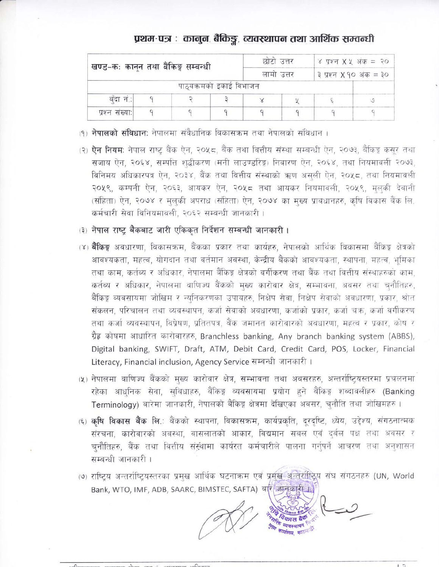## प्रथम-पत्र : कानुन, बैकिङ्ग, व्यवस्थापन तथा आर्थिक सम्वन्धी

| खण्ड-कः कानून तथा बैंकिङ्ग सम्वन्धी |  |                         | छाटा उत्तर             | ४ प्रश्न $X \times 36 = 20$ |  |  |
|-------------------------------------|--|-------------------------|------------------------|-----------------------------|--|--|
|                                     |  | लामा उत्तर              | ३ प्रश्न X १० अंक = ३० |                             |  |  |
|                                     |  | पाठ्यक्रमको इकाई विभाजन |                        |                             |  |  |
| बंदा नं.:                           |  |                         |                        |                             |  |  |
| प्रश्न संख्या:                      |  |                         |                        |                             |  |  |

- (१) **नेपालको संविधान:** नेपालमा संवैधानिक विकासक्रम तथा नेपालको संविधान ।
- (२) **ऐन नियम**: नेपाल राष्ट्र बैंक ऐन, २०५८, बैंक तथा वित्तीय संस्था सम्बन्धी ऐन, २०७३, बैंकिङ्ग कसर तथा सजाय ऐन, २०६४, सम्पत्ति शद्बीकरण (मनी लाउण्डरिङ्ग) निवारण ऐन, २०६४, तथा नियमावली २०७३, विनिमय अधिकारपत्र ऐन, २०३४, बैंक तथा वित्तीय संस्थाको ऋण असली ऐन, २०५८, तथा नियमावली २०५९, कम्पनी ऐन, २०६३, आयकर ऐन, २०५८ तथा आयकर नियमावली, २०५९, मुलकी देवानी (संहिता) ऐन, २०७४ र मुलुकी अपराध (संहिता) ऐन, २०७४ का मुख्य प्रावधानहरु, कृषि विकास बैंक लि. कर्मचारी सेवा विनियमावली, २०६२ सम्बन्धी जानकारी।
- (३) नेपाल राष्ट्र बैंकबाट जारी एकिकृत निर्देशन सम्बन्धी जानकारी ।
- (४) **बैंकिङ्ग** अवधारणा, विकासक्रम, बैंकका प्रकार तथा कार्यहरु, नेपालको आर्थिक विकासमा बैंकिङ्ग क्षेत्रको आवश्यकता, महत्व, योगदान तथा वर्तमान अवस्था, केन्द्रीय बैंकको आवश्यकता, स्थापना, महत्व, भूमिका तथा काम, कर्तब्य र अधिकार, नेपालमा बैंकिङ्ग क्षेत्रको वर्गीकरण तथा बैंक तथा वित्तीय संस्थाहरुको काम, कर्तव्य र अधिकार, नेपालमा वाणिज्य बैंकको मुख्य कारोवार क्षेत्र, सम्भावना, अवसर तथा चुनौतिहरु, बैंकिङ्ग व्यवसायमा जोखिम र न्युनिकरणका उपायहरु, निक्षेप सेवा, निक्षेप सेवाको अवधारणा, प्रकार, श्रोत संकलन, परिचालन तथा व्यवस्थापन, कर्जा सेवाको अवधारणा, कर्जाको प्रकार, कर्जा चऋ, कर्जा वर्गीकरण तथा कर्जा व्यवस्थापन, विप्रेषण, प्रतितपत्र, बैंक जमानत कारोवारको अवधारणा, महत्व र प्रकार, कोष र ग्रैह कोषमा आधारित कारोवारहरु, Branchless banking, Any branch banking system (ABBS), Digital banking, SWIFT, Draft, ATM, Debit Card, Credit Card, POS, Locker, Financial Literacy, Financial inclusion, Agency Service सम्बन्धी जानकारी।
- (५) नेपालमा वाणिज्य बैंकको मुख्य कारोवार क्षेत्र, सम्भावना तथा अवसरहरु, अन्तर्राष्ट्यिस्तरमा प्रचलनमा रहेका आधुनिक सेवा, सुबिधाहरु, बैंकिङ्ग व्यवसायमा प्रयोग हुने बैंकिङ्ग शब्दावलीहरु (Banking Terminology) बारेमा जानकारी, नेपालको बैंकिङ्ग क्षेत्रमा देखिएका अवसर, चुनौति तथा जोखिमहरु ।
- (६) कृषि विकास बैंक लि.: बैंकको स्थापना, विकासक्रम, कार्यप्रकृति, दूरदृष्टि, ध्येय, उद्देश्य, संगठनात्मक संरचना, कारोवारको अवस्था, वासलातको आकार, विद्यमान सबल एवं दुर्बल पक्ष तथा अवसर र चनौतिहरु, बैंक तथा वित्तीय संस्थामा कार्यरत कर्मचारीले पालना गर्नुपर्ने आचरण तथा अनुशासन सम्बन्धी जानकारी ।
- (७) राष्टिय अन्तर्राष्टियस्तरका प्रमुख आर्थिक घटनाक्रम एवं प्रमुख अन्तर्राष्ट्रिय संघ संगठनहरु (UN, World Bank, WTO, IMF, ADB, SAARC, BIMSTEC, SAFTA) बारे जानकारी 1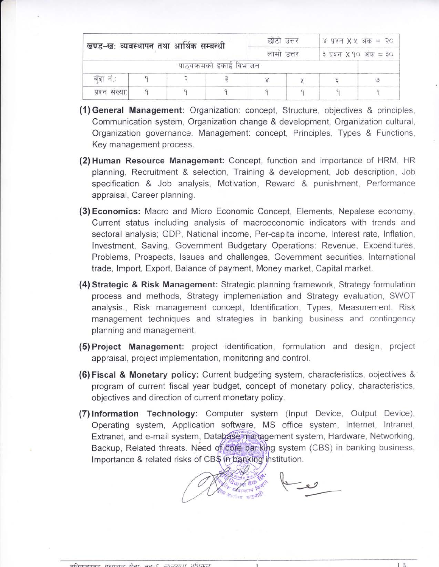| खण्ड-खः व्यवस्थापन तथा आर्थिक सम्बन्धी |  | छोटो उत्तर              |  | ४ प्रश्न $X \times 345 = 20$<br>३ प्रश्न X १० अंक = ३० |  |  |
|----------------------------------------|--|-------------------------|--|--------------------------------------------------------|--|--|
|                                        |  | लामा उत्तर              |  |                                                        |  |  |
|                                        |  | पाठ्यक्रमको इकाई विभाजन |  |                                                        |  |  |
| बँदा नं∴                               |  |                         |  |                                                        |  |  |
| प्रश्न संख्या:                         |  |                         |  |                                                        |  |  |

- (1) General Management: Organization: concept, Structure, objectives & principles, Communication system, Organization change & development, Organization cultural, Organization governance. Management: concept, Principles, Types & Functions, Key management process.
- (2) Human Resource Management: Concept, function and importance of HRM, HR planning, Recruitment & selection, Training & development, Job description, Job specification & Job analysis, Motivation, Reward & punishment, Performance appraisal, Career planning.
- (3) Economics: Macro and Micro Economic Concept, Elements, Nepalese economy, Current status including analysis of macroeconomic indicators with trends and sectoral analysis; GDP, National income, Per-capita income, Interest rate, Inflation, Investment, Saving, Government Budgetary Operations: Revenue, Expenditures, Problems, Prospects, Issues and challenges, Government securities, International trade, Import, Export, Balance of payment, Money market, Capital market.
- (4) Strategic & Risk Management: Strategic planning framework, Strategy formulation process and methods, Strategy implementation and Strategy evaluation, SWOT analysis., Risk management concept, Identification, Types, Measurement, Risk management techniques and strategies in banking business and contingency planning and management.
- (5) Project Management: project identification, formulation and design, project appraisal, project implementation, monitoring and control.
- **(6) Fiscal & Monetary policy:** Current budgeting system, characteristics, objectives & program of current fiscal year budget, concept of monetary policy, characteristics, objectives and direction of current monetary policy.
- (7) Information Technology: Computer system (Input Device, Output Device), Operating system, Application software, MS office system, Internet, Intranet, Extranet, and e-mail system, Database management system, Hardware, Networking, Backup, Related threats. Need of core bar king system (CBS) in banking business, Importance & related risks of CB\$ in banking institution.

 $13$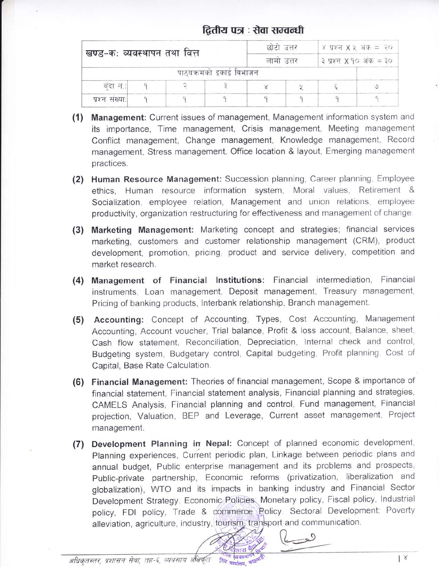### द्वितीय पत्र : सेवा सम्वन्धी

|                |                              |  | छोटो उत्तर              |  | ४ प्रश्न $X \times 345 = 20$ |                        |  |  |
|----------------|------------------------------|--|-------------------------|--|------------------------------|------------------------|--|--|
|                | खण्ड-कः व्यवस्थापन तथा वित्त |  |                         |  |                              | ३ प्रश्न X १० अंक = ३० |  |  |
|                |                              |  | पाठ्यक्रमको इकाई विभाजन |  |                              |                        |  |  |
| बंदा नं.:      |                              |  |                         |  |                              |                        |  |  |
| प्रश्न संख्या: |                              |  |                         |  |                              |                        |  |  |

- (1) Management: Current issues of management, Management information system and its importance, Time management, Crisis management, Meeting management Conflict management, Change management, Knowledge management, Record management, Stress management, Office location & layout, Emerging management practices.
- (2) Human Resource Management: Succession planning, Career planning, Employee ethics. Human resource information system, Moral values, Retirement & Socialization, employee relation, Management and union relations, employee productivity, organization restructuring for effectiveness and management of change.
- (3) Marketing Management: Marketing concept and strategies; financial services marketing, customers and customer relationship management (CRM), product development, promotion, pricing, product and service delivery, competition and market research.
- (4) Management of Financial Institutions: Financial intermediation, Financial instruments, Loan management, Deposit management, Treasury management, Pricing of banking products, Interbank relationship, Branch management.
- (5) Accounting: Concept of Accounting, Types, Cost Accounting, Management Accounting, Account voucher, Trial balance, Profit & loss account, Balance, sheet, Cash flow statement, Reconciliation, Depreciation, Internal check and control, Budgeting system, Budgetary control, Capital budgeting, Profit planning. Cost of Capital, Base Rate Calculation.
- (6) Financial Management: Theories of financial management, Scope & importance of financial statement, Financial statement analysis, Financial planning and strategies, CAMELS Analysis, Financial planning and control, Fund management, Financial projection, Valuation, BEP and Leverage, Current asset management, Project management.
- (7) Development Planning in Nepal: Concept of planned economic development, Planning experiences, Current periodic plan, Linkage between periodic plans and annual budget, Public enterprise management and its problems and prospects, Public-private partnership, Economic reforms (privatization, liberalization and globalization), WTO and its impacts in banking industry and Financial Sector Development Strategy. Economic Policies: Monetary policy, Fiscal policy, Industrial policy, FDI policy, Trade & commerce Policy. Sectoral Development: Poverty alleviation, agriculture, industry, tourism, transport and communication.